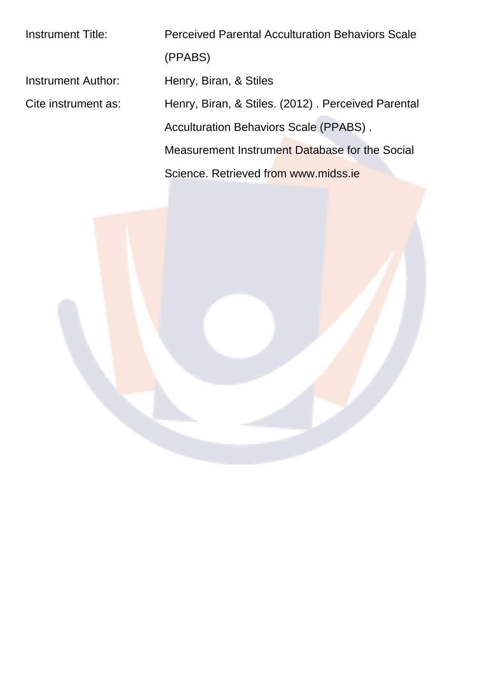| <b>Instrument Title:</b> | <b>Perceived Parental Acculturation Behaviors Scale</b> |  |  |
|--------------------------|---------------------------------------------------------|--|--|
|                          | (PPABS)                                                 |  |  |
| Instrument Author:       | Henry, Biran, & Stiles                                  |  |  |
| Cite instrument as:      | Henry, Biran, & Stiles. (2012). Perceived Parental      |  |  |
|                          | <b>Acculturation Behaviors Scale (PPABS).</b>           |  |  |
|                          | Measurement Instrument Database for the Social          |  |  |
|                          | Science, Retrieved from www.midss.je                    |  |  |
|                          |                                                         |  |  |

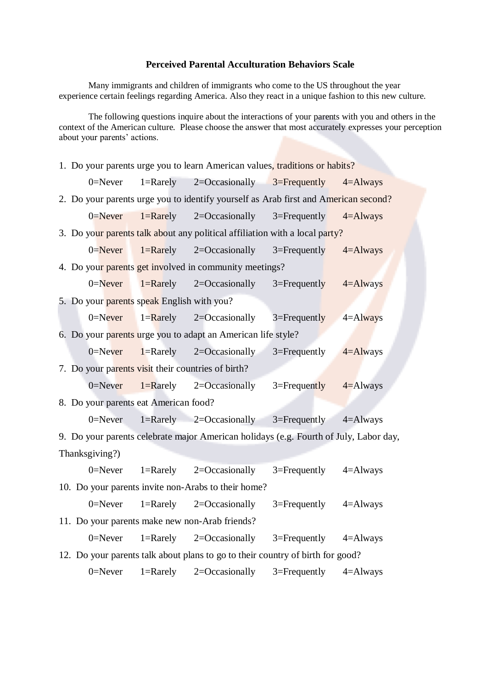## **Perceived Parental Acculturation Behaviors Scale**

Many immigrants and children of immigrants who come to the US throughout the year experience certain feelings regarding America. Also they react in a unique fashion to this new culture.

The following questions inquire about the interactions of your parents with you and others in the context of the American culture. Please choose the answer that most accurately expresses your perception about your parents' actions.

1. Do your parents urge you to learn American values, traditions or habits? 0=Never 1=Rarely 2=Occasionally  $3=$ Frequently 4=Always 2. Do your parents urge you to identify yourself as Arab first and American second?  $0=$ Never 1=Rarely 2=Occasionally 3=Frequently 4=Always 3. Do your parents talk about any political affiliation with a local party?  $0=$ Never 1=Rarely 2=Occasionally 3=Frequently 4=Always 4. Do your parents get involved in community meetings? 0=Never 1=Rarely 2=Occasionally 3=Frequently 4=Always 5. Do your parents speak English with you? 0=Never 1=Rarely 2=Occasionally 3=Frequently 4=Always 6. Do your parents urge you to adapt an American life style? 0=Never 1=Rarely 2=Occasionally 3=Frequently  $4=$ Always 7. Do your parents visit their countries of birth? 0=Never 1=Rarely 2=Occasionally 3=Frequently 4=Always 8. Do your parents eat American food? 0=Never  $1=$ Rarely  $2=$ Occasionally  $3=$ Frequently  $4=$ Always 9. Do your parents celebrate major American holidays (e.g. Fourth of July, Labor day, Thanksgiving?) 0=Never  $1=$ Rarely  $2=$ Occasionally  $3=$ Frequently  $4=$ Always 10. Do your parents invite non-Arabs to their home? 0=Never  $1=$ Rarely  $2=$ Occasionally  $3=$ Frequently  $4=$ Always 11. Do your parents make new non-Arab friends? 0=Never  $1=$ Rarely  $2=$ Occasionally  $3=$ Frequently  $4=$ Always 12. Do your parents talk about plans to go to their country of birth for good? 0=Never  $1=$ Rarely  $2=$ Occasionally  $3=$ Frequently  $4=$ Always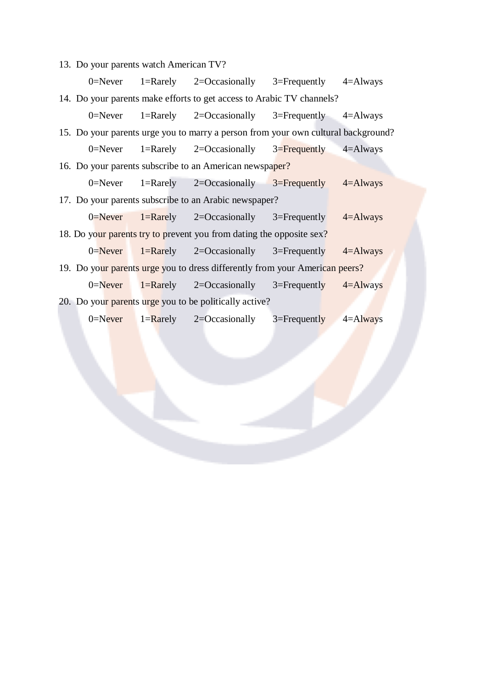13. Do your parents watch American TV?

|                                                                                   |                                                                       |  | 0=Never 1=Rarely 2=Occasionally 3=Frequently 4=Always    |  |  |  |  |
|-----------------------------------------------------------------------------------|-----------------------------------------------------------------------|--|----------------------------------------------------------|--|--|--|--|
|                                                                                   | 14. Do your parents make efforts to get access to Arabic TV channels? |  |                                                          |  |  |  |  |
|                                                                                   |                                                                       |  | 0=Never 1=Rarely 2=Occasionally 3=Frequently 4=Always    |  |  |  |  |
| 15. Do your parents urge you to marry a person from your own cultural background? |                                                                       |  |                                                          |  |  |  |  |
|                                                                                   |                                                                       |  | 0=Never 1=Rarely 2=Occasionally 3=Frequently 4=Always    |  |  |  |  |
| 16. Do your parents subscribe to an American newspaper?                           |                                                                       |  |                                                          |  |  |  |  |
|                                                                                   |                                                                       |  | 0=Never 1=Rarely 2=Occasionally $3=$ Frequently 4=Always |  |  |  |  |
| 17. Do your parents subscribe to an Arabic newspaper?                             |                                                                       |  |                                                          |  |  |  |  |
|                                                                                   |                                                                       |  | 0=Never 1=Rarely 2=Occasionally 3=Frequently 4=Always    |  |  |  |  |
| 18. Do your parents try to prevent you from dating the opposite sex?              |                                                                       |  |                                                          |  |  |  |  |
|                                                                                   |                                                                       |  | 0=Never 1=Rarely 2=Occasionally 3=Frequently 4=Always    |  |  |  |  |
| 19. Do your parents urge you to dress differently from your American peers?       |                                                                       |  |                                                          |  |  |  |  |
|                                                                                   |                                                                       |  | 0=Never 1=Rarely 2=Occasionally 3=Frequently 4=Always    |  |  |  |  |
| 20. Do your parents urge you to be politically active?                            |                                                                       |  |                                                          |  |  |  |  |
|                                                                                   |                                                                       |  | 0=Never 1=Rarely 2=Occasionally 3=Frequently 4=Always    |  |  |  |  |
|                                                                                   |                                                                       |  |                                                          |  |  |  |  |